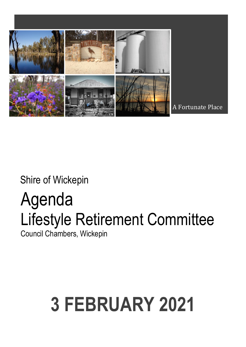

Shire of Wickepin

## Agenda Lifestyle Retirement Committee

Council Chambers, Wickepin

# **3 FEBRUARY 2021**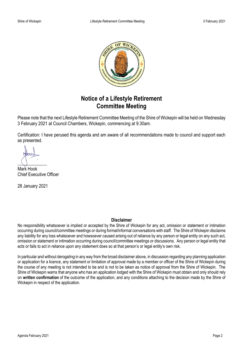

## **Notice of a Lifestyle Retirement Committee Meeting**

Please note that the next Lifestyle Retirement Committee Meeting of the Shire of Wickepin will be held on Wednesday 3 February 2021 at Council Chambers, Wickepin, commencing at 9.30am.

Certification: I have perused this agenda and am aware of all recommendations made to council and support each as presented.

 $\bigcup$ 

Mark Hook Chief Executive Officer

28 January 2021

#### **Disclaimer**

No responsibility whatsoever is implied or accepted by the Shire of Wickepin for any act, omission or statement or intimation occurring during council/committee meetings or during formal/informal conversations with staff. The Shire of Wickepin disclaims any liability for any loss whatsoever and howsoever caused arising out of reliance by any person or legal entity on any such act, omission or statement or intimation occurring during council/committee meetings or discussions. Any person or legal entity that acts or fails to act in reliance upon any statement does so at that person's or legal entity's own risk.

In particular and without derogating in any way from the broad disclaimer above, in discussion regarding any planning application or application for a licence, any statement or limitation of approval made by a member or officer of the Shire of Wickepin during the course of any meeting is not intended to be and is not to be taken as notice of approval from the Shire of Wickepin. The Shire of Wickepin warns that anyone who has an application lodged with the Shire of Wickepin must obtain and only should rely on **written confirmation** of the outcome of the application, and any conditions attaching to the decision made by the Shire of Wickepin in respect of the application.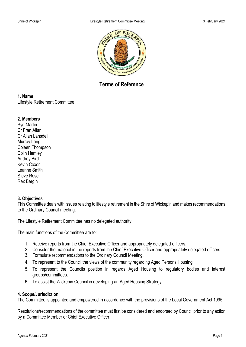

**Terms of Reference**

#### **1. Name**

Lifestyle Retirement Committee

#### **2. Members**

Syd Martin Cr Fran Allan Cr Allan Lansdell Murray Lang Coleen Thompson Colin Hemley Audrey Bird Kevin Coxon Leanne Smith Steve Rose Rex Bergin

#### **3. Objectives**

This Committee deals with issues relating to lifestyle retirement in the Shire of Wickepin and makes recommendations to the Ordinary Council meeting.

The Lifestyle Retirement Committee has no delegated authority.

The main functions of the Committee are to:

- 1. Receive reports from the Chief Executive Officer and appropriately delegated officers.
- 2. Consider the material in the reports from the Chief Executive Officer and appropriately delegated officers.
- 3. Formulate recommendations to the Ordinary Council Meeting.
- 4. To represent to the Council the views of the community regarding Aged Persons Housing.
- 5. To represent the Councils position in regards Aged Housing to regulatory bodies and interest groups/committees.
- 6. To assist the Wickepin Council in developing an Aged Housing Strategy.

#### **4. Scope/Jurisdiction**

The Committee is appointed and empowered in accordance with the provisions of the Local Government Act 1995.

Resolutions/recommendations of the committee must first be considered and endorsed by Council prior to any action by a Committee Member or Chief Executive Officer.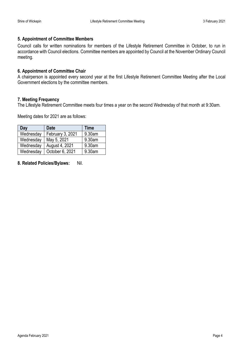#### **5. Appointment of Committee Members**

Council calls for written nominations for members of the Lifestyle Retirement Committee in October, to run in accordance with Council elections. Committee members are appointed by Council at the November Ordinary Council meeting.

#### **6. Appointment of Committee Chair**

A chairperson is appointed every second year at the first Lifestyle Retirement Committee Meeting after the Local Government elections by the committee members.

#### **7. Meeting Frequency**

The Lifestyle Retirement Committee meets four times a year on the second Wednesday of that month at 9:30am.

Meeting dates for 2021 are as follows:

| Day       | <b>Date</b>      | Time   |
|-----------|------------------|--------|
| Wednesday | February 3, 2021 | 9.30am |
| Wednesday | May 5, 2021      | 9.30am |
| Wednesday | August 4, 2021   | 9.30am |
| Wednesday | October 6, 2021  | 9.30am |

**8. Related Policies/Bylaws:** Nil.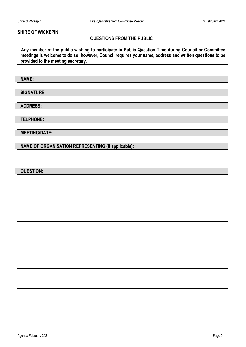#### **SHIRE OF WICKEPIN**

#### **QUESTIONS FROM THE PUBLIC**

 **Any member of the public wishing to participate in Public Question Time during Council or Committee meetings is welcome to do so; however, Council requires your name, address and written questions to be provided to the meeting secretary.**

**NAME:**

**SIGNATURE:** 

**ADDRESS:** 

**TELPHONE:**

**MEETING/DATE:**

**NAME OF ORGANISATION REPRESENTING (if applicable):** 

| <b>QUESTION:</b> |
|------------------|
|                  |
|                  |
|                  |
|                  |
|                  |
|                  |
|                  |
|                  |
|                  |
|                  |
|                  |
|                  |
|                  |
|                  |
|                  |
|                  |
|                  |
|                  |
|                  |
|                  |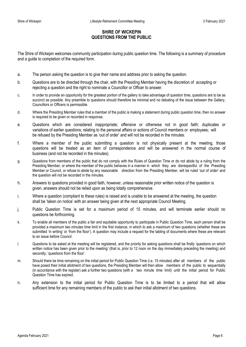#### **SHIRE OF WICKEPIN QUESTIONS FROM THE PUBLIC**

The Shire of Wickepin welcomes community participation during public question time. The following is a summary of procedure and a guide to completion of the required form.

- a. The person asking the question is to give their name and address prior to asking the question.
- b. Questions are to be directed through the chair, with the Presiding Member having the discretion of accepting or rejecting a question and the right to nominate a Councillor or Officer to answer.
- c. In order to provide an opportunity for the greatest portion of the gallery to take advantage of question time, questions are to be as succinct as possible. Any preamble to questions should therefore be minimal and no debating of the issue between the Gallery, Councillors or Officers is permissible.
- d. Where the Presiding Member rules that a member of the public is making a statement during public question time, then no answer is required to be given or recorded in response.
- e. Questions which are considered inappropriate; offensive or otherwise not in good faith; duplicates or variations of earlier questions; relating to the personal affairs or actions of Council members or employees; will be refused by the Presiding Member as 'out of order' and will not be recorded in the minutes.
- f. Where a member of the public submitting a question is not physically present at the meeting, those questions will be treated as an item of correspondence and will be answered in the normal course of business (and not be recorded in the minutes).
- g. Questions from members of the public that do not comply with the Rules of Question Time or do not abide by a ruling from the Presiding Member, or where the member of the public behaves in a manner in which they are disrespectful of the Presiding Member or Council, or refuse to abide by any reasonable direction from the Presiding Member, will be ruled 'out of order' and the question will not be recorded in the minutes.
- h. Answers to questions provided in good faith, however, unless reasonable prior written notice of the question is given, answers should not be relied upon as being totally comprehensive.
- i. Where a question (compliant to these rules) is raised and is unable to be answered at the meeting, the question shall be 'taken on notice' with an answer being given at the next appropriate Council Meeting.
- j. Public Question Time is set for a maximum period of 15 minutes, and will terminate earlier should no questions be forthcoming.
- k. To enable all members of the public a fair and equitable opportunity to participate in Public Question Time, each person shall be provided a maximum two minutes time limit in the first instance, in which to ask a maximum of two questions (whether these are submitted 'in writing' or 'from the floor'). A question may include a request for the tabling of documents where these are relevant to an issue before Council.
- l. Questions to be asked at the meeting will be registered, and the priority for asking questions shall be firstly 'questions on which written notice has been given prior to the meeting' (that is, prior to 12 noon on the day immediately preceding the meeting) and secondly, 'questions from the floor'.
- m. Should there be time remaining on the initial period for Public Question Time (i.e. 15 minutes) after all members of the public have posed their initial allotment of two questions, the Presiding Member will then allow members of the public to sequentially (in accordance with the register) ask a further two questions (with a two minute time limit) until the initial period for Public Question Time has expired.
- n. Any extension to the initial period for Public Question Time is to be limited to a period that will allow sufficient time for any remaining members of the public to ask their initial allotment of two questions.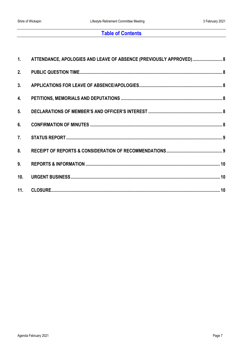## **Table of Contents**

|                 | 1. ATTENDANCE, APOLOGIES AND LEAVE OF ABSENCE (PREVIOUSLY APPROVED)  8 |  |
|-----------------|------------------------------------------------------------------------|--|
|                 |                                                                        |  |
|                 |                                                                        |  |
|                 |                                                                        |  |
| 5.              |                                                                        |  |
|                 |                                                                        |  |
|                 |                                                                        |  |
|                 |                                                                        |  |
| 9.              |                                                                        |  |
| 10 <sub>1</sub> |                                                                        |  |
|                 |                                                                        |  |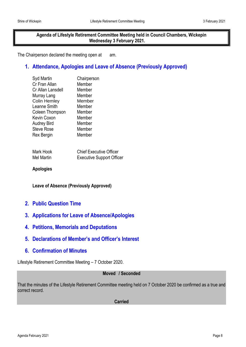**Agenda of Lifestyle Retirement Committee Meeting held in Council Chambers, Wickepin Wednesday 3 February 2021.**

The Chairperson declared the meeting open at am.

## <span id="page-7-0"></span>**1. Attendance, Apologies and Leave of Absence (Previously Approved)**

| Syd Martin          | Chairperson |
|---------------------|-------------|
| Cr Fran Allan       | Member      |
| Cr Allan Lansdell   | Member      |
| Murray Lang         | Member      |
| <b>Colin Hemley</b> | Member      |
| Leanne Smith        | Member      |
| Coleen Thompson     | Member      |
| Kevin Coxon         | Member      |
| <b>Audrey Bird</b>  | Member      |
| <b>Steve Rose</b>   | Member      |
| Rex Bergin          | Member      |
|                     |             |

| Mark Hook  | <b>Chief Executive Officer</b>   |
|------------|----------------------------------|
| Mel Martin | <b>Executive Support Officer</b> |

**Apologies**

**Leave of Absence (Previously Approved)**

- <span id="page-7-1"></span>**2. Public Question Time**
- <span id="page-7-2"></span>**3. Applications for Leave of Absence/Apologies**
- <span id="page-7-3"></span>**4. Petitions, Memorials and Deputations**
- <span id="page-7-4"></span>**5. Declarations of Member's and Officer's Interest**
- <span id="page-7-5"></span>**6. Confirmation of Minutes**

Lifestyle Retirement Committee Meeting – 7 October 2020.

#### **Moved / Seconded**

That the minutes of the Lifestyle Retirement Committee meeting held on 7 October 2020 be confirmed as a true and correct record.

**Carried**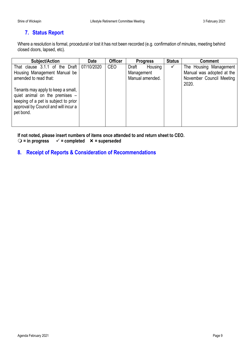## <span id="page-8-0"></span>**7. Status Report**

Where a resolution is formal, procedural or lost it has not been recorded (e.g. confirmation of minutes, meeting behind closed doors, lapsed, etc).

| <b>Subject/Action</b>                                                                                                                                             | <b>Date</b> | <b>Officer</b> | <b>Progress</b>                | <b>Status</b> | <b>Comment</b>                                      |
|-------------------------------------------------------------------------------------------------------------------------------------------------------------------|-------------|----------------|--------------------------------|---------------|-----------------------------------------------------|
| That clause 3.1.1 of the Draft<br>Housing Management Manual be                                                                                                    | 07/10/2020  | CEO            | Housing<br>Draft<br>Management | ✓             | The Housing Management<br>Manual was adopted at the |
| amended to read that:                                                                                                                                             |             |                | Manual amended.                |               | November Council Meeting<br>2020.                   |
| Tenants may apply to keep a small,<br>quiet animal on the premises -<br>keeping of a pet is subject to prior<br>approval by Council and will incur a<br>pet bond. |             |                |                                |               |                                                     |

**If not noted, please insert numbers of items once attended to and return sheet to CEO.**

○ = in progress  $\checkmark$  = completed  $\checkmark$  = superseded

## <span id="page-8-1"></span>**8. Receipt of Reports & Consideration of Recommendations**